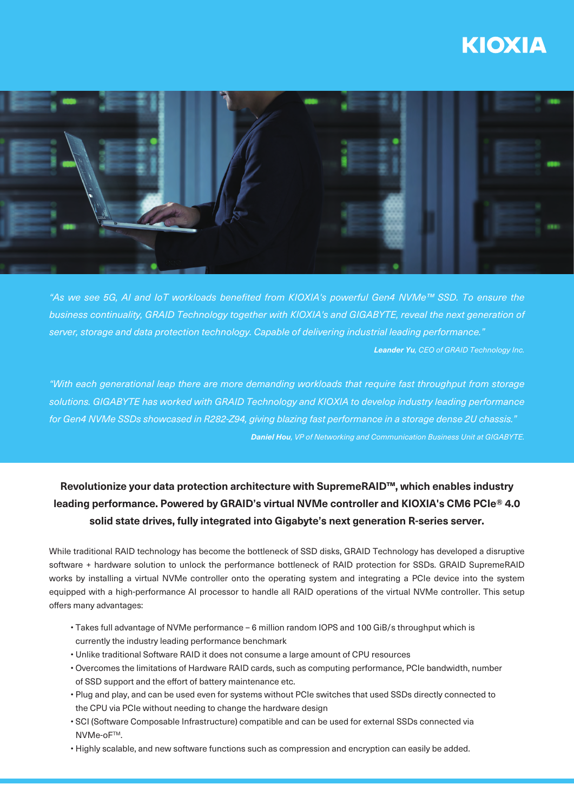# **KIOXIA**



*"As we see 5G, AI and IoT workloads beneted from KIOXIA's powerful Gen4 NVMe™ SSD. To ensure the business continuality, GRAID Technology together with KIOXIA's and GIGABYTE, reveal the next generation of server, storage and data protection technology. Capable of delivering industrial leading performance."*

*Leander Yu, CEO of GRAID Technology Inc.*

*"With each generational leap there are more demanding workloads that require fast throughput from storage solutions. GIGABYTE has worked with GRAID Technology and KIOXIA to develop industry leading performance for Gen4 NVMe SSDs showcased in R282-Z94, giving blazing fast performance in a storage dense 2U chassis." Daniel Hou, VP of Networking and Communication Business Unit at GIGABYTE.*

## **Revolutionize your data protection architecture with SupremeRAID™, which enables industry leading performance. Powered by GRAID's virtual NVMe controller and KIOXIA's CM6 PCIe® 4.0 solid state drives, fully integrated into Gigabyte's next generation R-series server.**

While traditional RAID technology has become the bottleneck of SSD disks, GRAID Technology has developed a disruptive software + hardware solution to unlock the performance bottleneck of RAID protection for SSDs. GRAID SupremeRAID works by installing a virtual NVMe controller onto the operating system and integrating a PCIe device into the system equipped with a high-performance AI processor to handle all RAID operations of the virtual NVMe controller. This setup offers many advantages:

- Takes full advantage of NVMe performance 6 million random IOPS and 100 GiB/s throughput which is currently the industry leading performance benchmark
- Unlike traditional Software RAID it does not consume a large amount of CPU resources
- Overcomes the limitations of Hardware RAID cards, such as computing performance, PCIe bandwidth, number of SSD support and the effort of battery maintenance etc.
- Plug and play, and can be used even for systems without PCIe switches that used SSDs directly connected to the CPU via PCIe without needing to change the hardware design
- SCI (Software Composable Infrastructure) compatible and can be used for external SSDs connected via NVMe-oFTM.
- Highly scalable, and new software functions such as compression and encryption can easily be added.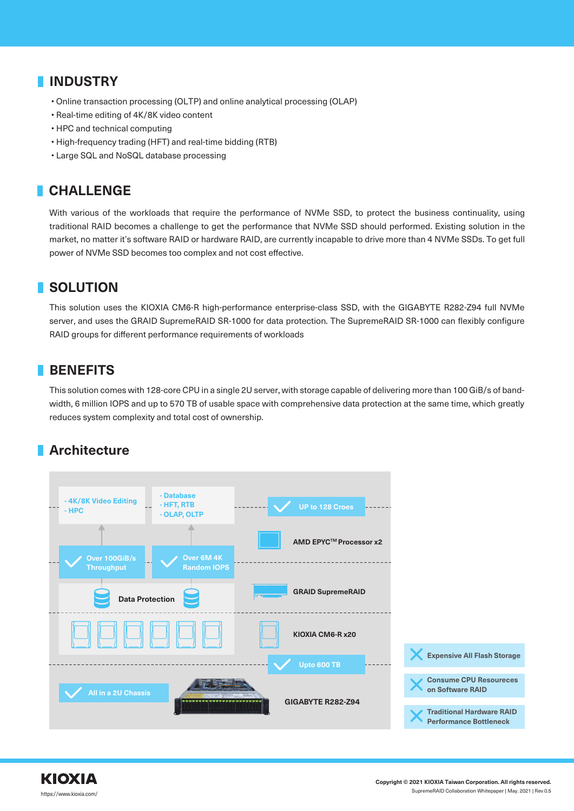## **INDUSTRY**

- Online transaction processing (OLTP) and online analytical processing (OLAP)
- Real-time editing of 4K/8K video content
- HPC and technical computing
- High-frequency trading (HFT) and real-time bidding (RTB)
- Large SQL and NoSQL database processing

# **CHALLENGE**

With various of the workloads that require the performance of NVMe SSD, to protect the business continuality, using traditional RAID becomes a challenge to get the performance that NVMe SSD should performed. Existing solution in the market, no matter it's software RAID or hardware RAID, are currently incapable to drive more than 4 NVMe SSDs. To get full power of NVMe SSD becomes too complex and not cost effective.

# **SOLUTION**

This solution uses the KIOXIA CM6-R high-performance enterprise-class SSD, with the GIGABYTE R282-Z94 full NVMe server, and uses the GRAID SupremeRAID SR-1000 for data protection. The SupremeRAID SR-1000 can flexibly configure RAID groups for different performance requirements of workloads

#### **BENEFITS**

This solution comes with 128-core CPU in a single 2U server, with storage capable of delivering more than 100 GiB/s of bandwidth, 6 million IOPS and up to 570 TB of usable space with comprehensive data protection at the same time, which greatly reduces system complexity and total cost of ownership.

## **Architecture**

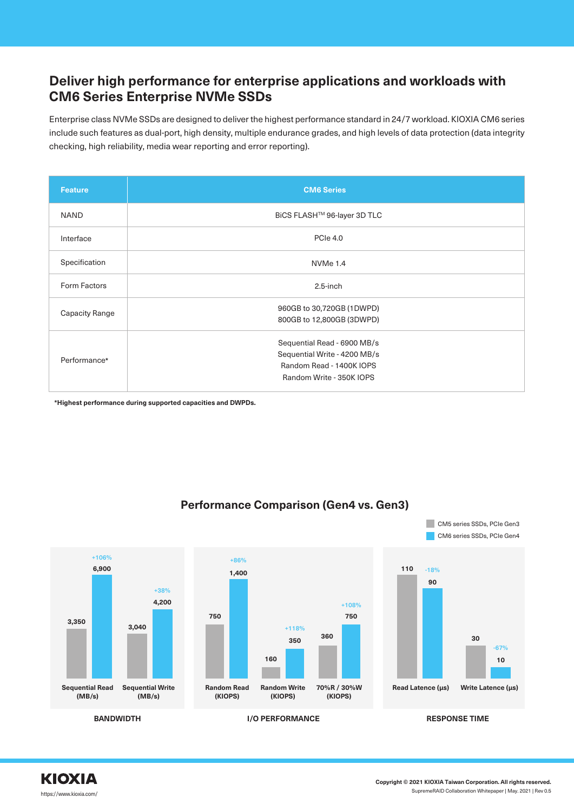## **Deliver high performance for enterprise applications and workloads with CM6 Series Enterprise NVMe SSDs**

Enterprise class NVMe SSDs are designed to deliver the highest performance standard in 24/7 workload. KIOXIA CM6 series include such features as dual-port, high density, multiple endurance grades, and high levels of data protection (data integrity checking, high reliability, media wear reporting and error reporting).

| <b>Feature</b>        | <b>CM6 Series</b>                                                                                                   |
|-----------------------|---------------------------------------------------------------------------------------------------------------------|
| <b>NAND</b>           | BiCS FLASH™ 96-layer 3D TLC                                                                                         |
| Interface             | <b>PCIe 4.0</b>                                                                                                     |
| Specification         | NVMe 1.4                                                                                                            |
| Form Factors          | $2.5$ -inch                                                                                                         |
| <b>Capacity Range</b> | 960GB to 30,720GB (1DWPD)<br>800GB to 12,800GB (3DWPD)                                                              |
| Performance*          | Sequential Read - 6900 MB/s<br>Sequential Write - 4200 MB/s<br>Random Read - 1400K IOPS<br>Random Write - 350K IOPS |

**\*Highest performance during supported capacities and DWPDs.**



#### **Performance Comparison (Gen4 vs. Gen3)**

CM5 series SSDs, PCIe Gen3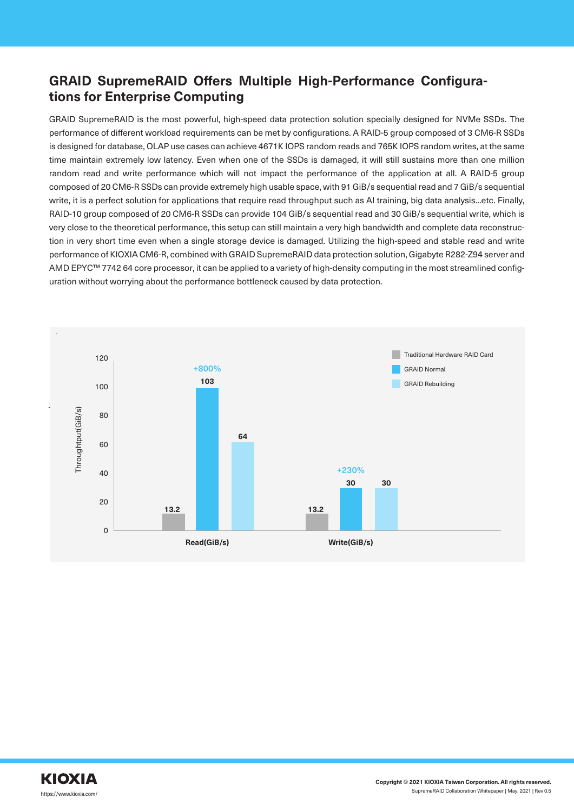# **GRAID SupremeRAID Offers Multiple High-Performance Configurations for Enterprise Computing**

GRAID SupremeRAID is the most powerful, high-speed data protection solution specially designed for NVMe SSDs. The performance of different workload requirements can be met by configurations. A RAID-5 group composed of 3 CM6-R SSDs is designed for database, OLAP use cases can achieve 4671K IOPS random reads and 765K IOPS random writes, at the same time maintain extremely low latency. Even when one of the SSDs is damaged, it will still sustains more than one million random read and write performance which will not impact the performance of the application at all. A RAID-5 group composed of 20 CM6-R SSDs can provide extremely high usable space, with 91 GiB/s sequential read and 7 GiB/s sequential write, it is a perfect solution for applications that require read throughput such as AI training, big data analysis...etc. Finally, RAID-10 group composed of 20 CM6-R SSDs can provide 104 GiB/s sequential read and 30 GiB/s sequential write, which is very close to the theoretical performance, this setup can still maintain a very high bandwidth and complete data reconstruction in very short time even when a single storage device is damaged. Utilizing the high-speed and stable read and write performance of KIOXIA CM6-R, combined with GRAID SupremeRAID data protection solution, Gigabyte R282-Z94 server and AMD EPYC™ 7742 64 core processor, it can be applied to a variety of high-density computing in the most streamlined configuration without worrying about the performance bottleneck caused by data protection.